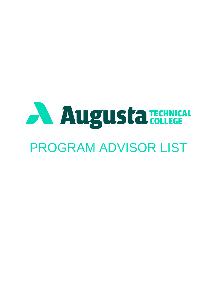# Augusta TECHNICAL PROGRAM ADVISOR LIST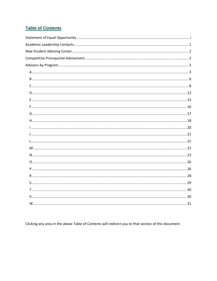#### **Table of Contents**

Clicking any area in the above Table of Contents will redirect you to that section of this document.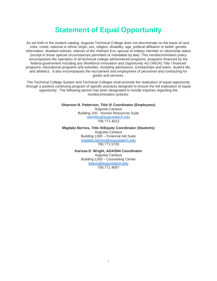## **Statement of Equal Opportunity**

<span id="page-2-0"></span>As set forth in the student catalog, Augusta Technical College does not discriminate on the basis of race, color, creed, national or ethnic origin, sex, religion, disability, age, political affiliation or belief, genetic information, disabled veteran, veteran of the Vietnam Era, spouse of military member or citizenship status (except in those special circumstances permitted or mandated by law). This nondiscrimination policy encompasses the operation of all technical college-administered programs, programs financed by the federal government including any Workforce Innovation and Opportunity Act (WIOA) Title I financed programs, educational programs and activities, including admissions, scholarships and loans, student life, and athletics. It also encompasses the recruitment and employment of personnel and contracting for goods and services.

 The Technical College System and Technical Colleges shall promote the realization of equal opportunity opportunity. The following person has been designated to handle inquiries regarding the through a positive continuing program of specific practices designed to ensure the full realization of equal nondiscrimination policies:

**Shannon B. Patterson, Title IX Coordinator (Employees)** 

Augusta Campus Building 100 - Human Resources Suite [sbentley@augustatech.edu](mailto:sbentley@augustatech.edu)  706.771.4013

**Migdaliz Berrios, Title IX/Equity Coordinator (Students)**  Augusta Campus Building 1300 – Financial Aid Suite [migdaliz.berrios@augustatech.edu](mailto:migdaliz.berrios@augustatech.edu)  706.771.5730

> **Karissa D. Wright, ADA/504 Coordinator**  Augusta Campus Building 1300 – Counseling Center [kdavis@augustatech.edu](mailto:kdavis@augustatech.edu)  706.771.4067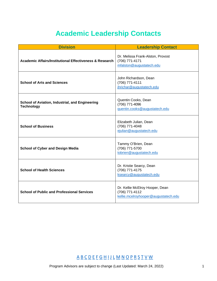# **Academic Leadership Contacts**

<span id="page-3-0"></span>

| <b>Division</b>                                                      | <b>Leadership Contact</b>                                                                 |
|----------------------------------------------------------------------|-------------------------------------------------------------------------------------------|
| <b>Academic Affairs/Institutional Effectiveness &amp; Research</b>   | Dr. Melissa Frank-Alston, Provost<br>(706) 771-4171<br>mfalston@augustatech.edu           |
| <b>School of Arts and Sciences</b>                                   | John Richardson, Dean<br>(706) 771-4111<br>jhrichar@augustatech.edu                       |
| School of Aviation, Industrial, and Engineering<br><b>Technology</b> | Quentin Cooks, Dean<br>(706) 771-4096<br>guentin.cooks@augustatech.edu                    |
| <b>School of Business</b>                                            | Elizabeth Julian, Dean<br>(706) 771-4048<br>ejulian@augustatech.edu                       |
| <b>School of Cyber and Design Media</b>                              | Tammy O'Brien, Dean<br>(706) 771-5700<br>tobrien@augustatech.edu                          |
| <b>School of Health Sciences</b>                                     | Dr. Kristie Searcy, Dean<br>(706) 771-4175<br>ksearcy@augustatech.edu                     |
| <b>School of Public and Professional Services</b>                    | Dr. Kellie McElroy Hooper, Dean<br>(706) 771-4112<br>kellie.mcelroyhooper@augustatech.edu |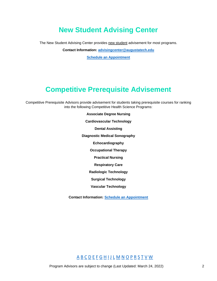# **New Student Advising Center**

<span id="page-4-1"></span><span id="page-4-0"></span>The New Student Advising Center provides new student advisement for most programs.

**Contact Information: [advisingcenter@augustatech.edu](mailto:advisingcenter@augustatech.edu)** 

**[Schedule an Appointment](https://outlook.office365.com/owa/calendar/AugustaTech@augustatech.edu/bookings/)** 

# **Competitive Prerequisite Advisement**

Competitive Prerequisite Advisors provide advisement for students taking prerequisite courses for ranking into the following Competitive Health Science Programs:

> **Associate Degree Nursing Cardiovascular Technology Dental Assisting Diagnostic Medical Sonography Echocardiography Occupational Therapy Practical Nursing Respiratory Care Radiologic Technology Surgical Technology Vascular Technology**

**Contact Information: [Schedule an Appointment](https://outlook.office365.com/owa/calendar/Group11@AugustaTechnicalColleg718.onmicrosoft.com/bookings/)**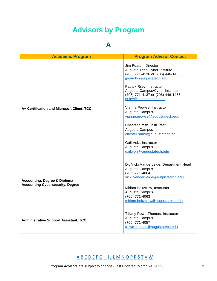# **Advisors by Program**

## **A**

<span id="page-5-1"></span><span id="page-5-0"></span>

| <b>Academic Program</b>                                                            | <b>Program Advisor Contact</b>                                                                                                                                                                                                                                                                                                                                                                                                                                                           |
|------------------------------------------------------------------------------------|------------------------------------------------------------------------------------------------------------------------------------------------------------------------------------------------------------------------------------------------------------------------------------------------------------------------------------------------------------------------------------------------------------------------------------------------------------------------------------------|
| A+ Certification and Microsoft Client, TCC                                         | Jim Poarch, Director<br>Augusta Tech Cyber Institute<br>(706) 771-4136 or (706) 446-1455<br>jpoarch@augustatech.edu<br>Patrick Riley, Instructor<br>Augusta Campus/Cyber Institute<br>(706) 771-4137 or (706) 446-1456<br>priley@augustatech.edu<br>Vianne Prowse, Instructor<br>Augusta Campus<br>vianne.prowse@augustatech.edu<br>Chester Smith, Instructor<br>Augusta Campus<br>chester.smith@augustatech.edu<br>Gail Volz, Instructor<br>Augusta Campus<br>gail.volz@augustatech.edu |
| <b>Accounting, Degree &amp; Diploma</b><br><b>Accounting Cybersecurity, Degree</b> | Dr. Vicki Vandervelde, Department Head<br>Augusta Campus<br>(706) 771-4064<br>vicki.vandervelde@augustatech.edu<br>Miriam Holtzclaw, Instructor<br>Augusta Campus<br>(706) 771-4063<br>miriam.holtzclaw@augustatech.edu                                                                                                                                                                                                                                                                  |
| <b>Administrative Support Assistant, TCC</b>                                       | Tiffany Rowe-Thomas, Instructor<br>Augusta Campus<br>(706) 771-4057<br>trowe-thomas@augustatech.edu                                                                                                                                                                                                                                                                                                                                                                                      |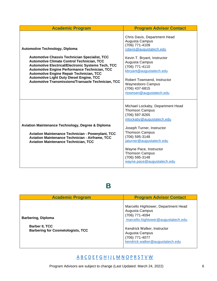| <b>Academic Program</b>                                                                                                                                                                                                                                                                                                                                                                                                             | <b>Program Advisor Contact</b>                                                                                                                                                                                                                                                                                 |
|-------------------------------------------------------------------------------------------------------------------------------------------------------------------------------------------------------------------------------------------------------------------------------------------------------------------------------------------------------------------------------------------------------------------------------------|----------------------------------------------------------------------------------------------------------------------------------------------------------------------------------------------------------------------------------------------------------------------------------------------------------------|
| <b>Automotive Technology, Diploma</b><br><b>Automotive Chassis Technician Specialist, TCC</b><br><b>Automotive Climate Control Technician, TCC</b><br><b>Automotive Electrical/Electronic Systems Tech, TCC</b><br><b>Automotive Engine Performance Technician, TCC</b><br><b>Automotive Engine Repair Technician, TCC</b><br><b>Automotive Light Duty Diesel Engine, TCC</b><br>Automotive Transmissions/Transaxle Technician, TCC | Chris Davis, Department Head<br>Augusta Campus<br>(706) 771-4109<br>cdavis@augustatech.edu<br>Kevin T. Bryant, Instructor<br>Augusta Campus<br>(706) 771-4110<br>kbryant@augustatech.edu<br>Robert Townsend, Instructor<br><b>Waynesboro Campus</b><br>(706) 437-6815<br>rtownsen@augustatech.edu              |
| <b>Aviation Maintenance Technology, Degree &amp; Diploma</b><br><b>Aviation Maintenance Technician - Powerplant, TCC</b><br><b>Aviation Maintenance Technician - Airframe, TCC</b><br><b>Aviation Maintenance Technician, TCC</b>                                                                                                                                                                                                   | Michael Lockaby, Department Head<br><b>Thomson Campus</b><br>(706) 597-8265<br>mlockaby@augustatech.edu<br>Joseph Turner, Instructor<br><b>Thomson Campus</b><br>(706) 595-3148<br>jaturner@augustatech.edu<br>Wayne Pace, Instructor<br><b>Thomson Campus</b><br>(706) 595-3148<br>wayne.pace@augustatech.edu |

#### **B**

<span id="page-8-0"></span>

| <b>Academic Program</b>                                                                        | <b>Program Advisor Contact</b>                                                                                                                                                                                      |
|------------------------------------------------------------------------------------------------|---------------------------------------------------------------------------------------------------------------------------------------------------------------------------------------------------------------------|
| <b>Barbering, Diploma</b><br><b>Barber II, TCC</b><br><b>Barbering for Cosmetologists, TCC</b> | Marcello Hightower, Department Head<br>Augusta Campus<br>(706) 771-4094<br>marcello.hightower@augustatech.edu<br>Kendrick Walker, Instructor<br>Augusta Campus<br>(706) 771-4077<br>kendrick.walker@augustatech.edu |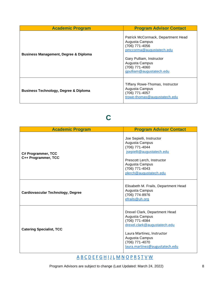| <b>Academic Program</b>                          | <b>Program Advisor Contact</b>                                                                                                                                                                 |
|--------------------------------------------------|------------------------------------------------------------------------------------------------------------------------------------------------------------------------------------------------|
| <b>Business Management, Degree &amp; Diploma</b> | Patrick McCormack, Department Head<br>Augusta Campus<br>(706) 771-4056<br>pmccorma@augustatech.edu<br>Gary Pulliam, Instructor<br>Augusta Campus<br>(706) 771-4060<br>gpulliam@augustatech.edu |
| <b>Business Technology, Degree &amp; Diploma</b> | Tiffany Rowe-Thomas, Instructor<br>Augusta Campus<br>(706) 771-4057<br>trowe-thomas@augustatech.edu                                                                                            |

## **C**

<span id="page-10-0"></span>

| <b>Academic Program</b>                   | <b>Program Advisor Contact</b>                                                                                                                                                                        |
|-------------------------------------------|-------------------------------------------------------------------------------------------------------------------------------------------------------------------------------------------------------|
| C# Programmer, TCC<br>C++ Programmer, TCC | Joe Sepielli, Instructor<br>Augusta Campus<br>(706) 771-4044<br>jsepielli@augustatech.edu<br>Prescott Lerch, Instructor<br>Augusta Campus<br>(706) 771-4043<br>plerch@augustatech.edu                 |
| <b>Cardiovascular Technology, Degree</b>  | Elisabeth M. Frails, Department Head<br>Augusta Campus<br>(706) 774-8976<br>efrails@uh.org                                                                                                            |
| <b>Catering Specialist, TCC</b>           | Drexel Clark, Department Head<br>Augusta Campus<br>(706) 771-4084<br>drexel.clark@augustatech.edu<br>Laura Martinez, Instructor<br>Augusta Campus<br>(706) 771-4070<br>laura.martinez@augustatech.edu |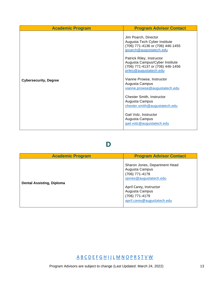| <b>Academic Program</b>      | <b>Program Advisor Contact</b>                                                                                            |
|------------------------------|---------------------------------------------------------------------------------------------------------------------------|
|                              | Jim Poarch, Director<br>Augusta Tech Cyber Institute<br>(706) 771-4136 or (706) 446-1455<br>jpoarch@augustatech.edu       |
|                              | Patrick Riley, Instructor<br>Augusta Campus/Cyber Institute<br>(706) 771-4137 or (706) 446-1456<br>priley@augustatech.edu |
| <b>Cybersecurity, Degree</b> | Vianne Prowse, Instructor<br>Augusta Campus<br>vianne.prowse@augustatech.edu                                              |
|                              | <b>Chester Smith, Instructor</b><br>Augusta Campus<br>chester.smith@augustatech.edu                                       |
|                              | Gail Volz, Instructor<br>Augusta Campus<br>gail.volz@augustatech.edu                                                      |

#### **D**

<span id="page-15-0"></span>

| <b>Academic Program</b>          | <b>Program Advisor Contact</b>                                                                                                                                                            |
|----------------------------------|-------------------------------------------------------------------------------------------------------------------------------------------------------------------------------------------|
| <b>Dental Assisting, Diploma</b> | Sharon Jones, Department Head<br>Augusta Campus<br>(706) 771-4178<br>sjones@augustatech.edu<br>April Carey, Instructor<br>Augusta Campus<br>(706) 771-4179<br>april.carey@augustatech.edu |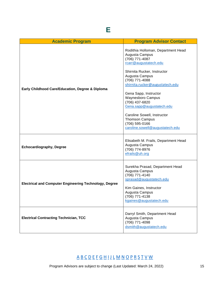<span id="page-17-0"></span>

| <b>Academic Program</b>                                       | <b>Program Advisor Contact</b>                                                                                                                                                          |
|---------------------------------------------------------------|-----------------------------------------------------------------------------------------------------------------------------------------------------------------------------------------|
| Early Childhood Care/Education, Degree & Diploma              | Rodithia Holloman, Department Head<br>Augusta Campus<br>(706) 771-4087<br>rcarr@augustatech.edu                                                                                         |
|                                                               | Shirnita Rucker, Instructor<br>Augusta Campus<br>(706) 771-4088<br>shirnita.rucker@augustatech.edu<br>Gena Sapp, Instructor                                                             |
|                                                               | <b>Waynesboro Campus</b><br>(706) 437-6820<br>Gena.sapp@augustatech.edu                                                                                                                 |
|                                                               | Caroline Sowell, Instructor<br><b>Thomson Campus</b><br>(706) 595-0166<br>caroline.sowell@augustatech.edu                                                                               |
| <b>Echocardiography, Degree</b>                               | Elisabeth M. Frails, Department Head<br>Augusta Campus<br>(706) 774-8976<br>efrails@uh.org                                                                                              |
| <b>Electrical and Computer Engineering Technology, Degree</b> | Surekha Prasad, Department Head<br>Augusta Campus<br>(706) 771-4140<br>sprasad@augustatech.edu<br>Kim Gaines, Instructor<br>Augusta Campus<br>(706) 771-4138<br>kgaines@augustatech.edu |
| <b>Electrical Contracting Technician, TCC</b>                 | Darryl Smith, Department Head<br>Augusta Campus<br>(706) 771-4098<br>dsmith@augustatech.edu                                                                                             |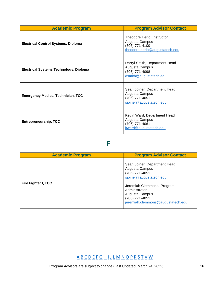| <b>Academic Program</b>                       | <b>Program Advisor Contact</b>                                                                   |
|-----------------------------------------------|--------------------------------------------------------------------------------------------------|
| <b>Electrical Control Systems, Diploma</b>    | Theodore Herlo, Instructor<br>Augusta Campus<br>(706) 771-4100<br>theodore.herlo@augustatech.edu |
| <b>Electrical Systems Technology, Diploma</b> | Darryl Smith, Department Head<br>Augusta Campus<br>(706) 771-4098<br>dsmith@augustatech.edu      |
| <b>Emergency Medical Technician, TCC</b>      | Sean Joiner, Department Head<br>Augusta Campus<br>(706) 771-4051<br>sjoiner@augustatech.edu      |
| <b>Entrepreneurship, TCC</b>                  | Kevin Ward, Department Head<br>Augusta Campus<br>(706) 771-4061<br>kward@augustatech.edu         |

#### **F**

<span id="page-18-0"></span>

| <b>Academic Program</b> | <b>Program Advisor Contact</b>                                                                                                                                                                                      |
|-------------------------|---------------------------------------------------------------------------------------------------------------------------------------------------------------------------------------------------------------------|
| Fire Fighter I, TCC     | Sean Joiner, Department Head<br>Augusta Campus<br>(706) 771-4051<br>sjoiner@augustatech.edu<br>Jeremiah Clemmons, Program<br>Administrator<br>Augusta Campus<br>(706) 771-4051<br>jeremiah.clemmons@augustatech.edu |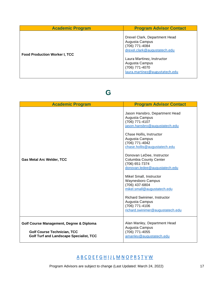| <b>Academic Program</b>              | <b>Program Advisor Contact</b>                                                                                                                                                                        |
|--------------------------------------|-------------------------------------------------------------------------------------------------------------------------------------------------------------------------------------------------------|
| <b>Food Production Worker I, TCC</b> | Drexel Clark, Department Head<br>Augusta Campus<br>(706) 771-4084<br>drexel.clark@augustatech.edu<br>Laura Martinez, Instructor<br>Augusta Campus<br>(706) 771-4070<br>laura.martinez@augustatech.edu |

## **G**

<span id="page-19-0"></span>

| <b>Academic Program</b>                                                                                                          | <b>Program Advisor Contact</b>                                                                                                                                                                                                                                                                                                                                                                                                                                                                                                              |
|----------------------------------------------------------------------------------------------------------------------------------|---------------------------------------------------------------------------------------------------------------------------------------------------------------------------------------------------------------------------------------------------------------------------------------------------------------------------------------------------------------------------------------------------------------------------------------------------------------------------------------------------------------------------------------------|
| <b>Gas Metal Arc Welder, TCC</b>                                                                                                 | Jason Hansbro, Department Head<br>Augusta Campus<br>(706) 771-4107<br>jason.hansbro@augustatech.edu<br>Chase Hollis, Instructor<br>Augusta Campus<br>(706) 771-4042<br>chase.hollis@augustatech.edu<br>Donovan LeDee, Instructor<br><b>Columbia County Center</b><br>(706) 651-7374<br>donovan.ledee@augustatech.edu<br>Mikel Small, Instructor<br><b>Waynesboro Campus</b><br>(706) 437-6804<br>mikel.small@augustatech.edu<br><b>Richard Swinimer, Instructor</b><br>Augusta Campus<br>(706) 771-4106<br>richard.swinimer@augustatech.edu |
| Golf Course Management, Degree & Diploma<br><b>Golf Course Technician, TCC</b><br><b>Golf Turf and Landscape Specialist, TCC</b> | Alan Manley, Department Head<br>Augusta Campus<br>(706) 771-4055<br>amanley@augustatech.edu                                                                                                                                                                                                                                                                                                                                                                                                                                                 |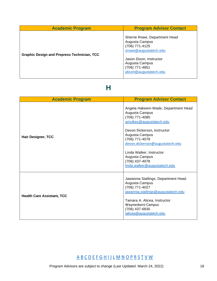| <b>Academic Program</b>                            | <b>Program Advisor Contact</b>                                                                                                                                                      |
|----------------------------------------------------|-------------------------------------------------------------------------------------------------------------------------------------------------------------------------------------|
| <b>Graphic Design and Prepress Technician, TCC</b> | Sherrie Rowe, Department Head<br>Augusta Campus<br>(706) 771-4125<br>srowe@augustatech.edu<br>Jason Dixon, Instructor<br>Augusta Campus<br>(706) 771-4851<br>jdixon@augustatech.edu |

## **H**

<span id="page-20-0"></span>

| <b>Academic Program</b>           | <b>Program Advisor Contact</b>                                                                                                                                                                                                                                                                           |
|-----------------------------------|----------------------------------------------------------------------------------------------------------------------------------------------------------------------------------------------------------------------------------------------------------------------------------------------------------|
| <b>Hair Designer, TCC</b>         | Angela Hakeem-Wade, Department Head<br>Augusta Campus<br>(706) 771-4080<br>amulkey@augustatech.edu<br>Devon Dickerson, Instructor<br>Augusta Campus<br>(706) 771-4079<br>devon.dickerson@augustatech.edu<br>Linda Walker, Instructor<br>Augusta Campus<br>(706) 437-4078<br>linda.walker@augustatech.edu |
| <b>Health Care Assistant, TCC</b> | Jawannia Stallings, Department Head<br>Augusta Campus<br>(706) 771-4027<br>jawannia.stallings@augustatech.edu<br>Tamara A. Alicea, Instructor<br>Waynesboro Campus<br>(706) 437-6830<br>talicea@augustatech.edu                                                                                          |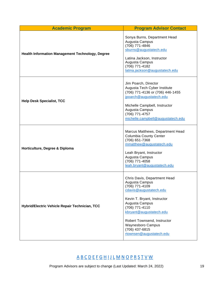| <b>Academic Program</b>                                 | <b>Program Advisor Contact</b>                                                                                                                                                                                                                                                                    |
|---------------------------------------------------------|---------------------------------------------------------------------------------------------------------------------------------------------------------------------------------------------------------------------------------------------------------------------------------------------------|
| <b>Health Information Management Technology, Degree</b> | Sonya Burns, Department Head<br>Augusta Campus<br>(706) 771-4846<br>sburns@augustatech.edu<br>Latina Jackson, Instructor<br>Augusta Campus<br>(706) 771-4182<br>latina.jackson@augustatech.edu                                                                                                    |
| <b>Help Desk Specialist, TCC</b>                        | Jim Poarch, Director<br>Augusta Tech Cyber Institute<br>(706) 771-4136 or (706) 446-1455<br>jpoarch@augustatech.edu<br>Michelle Campbell, Instructor<br>Augusta Campus<br>(706) 771-4757<br>michelle.campbell@augustatech.edu                                                                     |
| Horticulture, Degree & Diploma                          | Marcus Matthews, Department Head<br><b>Columbia County Center</b><br>(706) 651-7368<br>mmatthew@augustatech.edu<br>Leah Bryant, Instructor<br>Augusta Campus<br>(706) 771-4058<br>leah.bryant@augustatech.edu                                                                                     |
| Hybrid/Electric Vehicle Repair Technician, TCC          | Chris Davis, Department Head<br>Augusta Campus<br>(706) 771-4109<br>cdavis@augustatech.edu<br>Kevin T. Bryant, Instructor<br>Augusta Campus<br>(706) 771-4110<br>kbryant@augustatech.edu<br>Robert Townsend, Instructor<br><b>Waynesboro Campus</b><br>(706) 437-6815<br>rtownsen@augustatech.edu |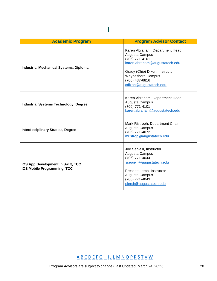<span id="page-22-0"></span>

| <b>Academic Program</b>                                                 | <b>Program Advisor Contact</b>                                                                                                                                                                                |
|-------------------------------------------------------------------------|---------------------------------------------------------------------------------------------------------------------------------------------------------------------------------------------------------------|
| <b>Industrial Mechanical Systems, Diploma</b>                           | Karen Abraham, Department Head<br>Augusta Campus<br>(706) 771-4101<br>karen.abraham@augustatech.edu<br>Grady (Chip) Dixon, Instructor<br><b>Waynesboro Campus</b><br>(706) 437-6816<br>cdixon@augustatech.edu |
| <b>Industrial Systems Technology, Degree</b>                            | Karen Abraham, Department Head<br>Augusta Campus<br>(706) 771-4101<br>karen.abraham@augustatech.edu                                                                                                           |
| <b>Interdisciplinary Studies, Degree</b>                                | Mark Ristroph, Department Chair<br>Augusta Campus<br>(706) 771-4072<br>mristrop@augustatech.edu                                                                                                               |
| <b>iOS App Development in Swift, TCC</b><br>iOS Mobile Programming, TCC | Joe Sepielli, Instructor<br>Augusta Campus<br>(706) 771-4044<br>jsepielli@augustatech.edu<br>Prescott Lerch, Instructor<br>Augusta Campus<br>(706) 771-4043<br>plerch@augustatech.edu                         |

**I**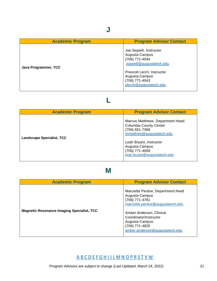<span id="page-23-0"></span>

| <b>Academic Program</b> | <b>Program Advisor Contact</b>                                                                                                                                                        |
|-------------------------|---------------------------------------------------------------------------------------------------------------------------------------------------------------------------------------|
| Java Programmer, TCC    | Joe Sepielli, Instructor<br>Augusta Campus<br>(706) 771-4044<br>jsepielli@augustatech.edu<br>Prescott Lerch, Instructor<br>Augusta Campus<br>(706) 771-4043<br>plerch@augustatech.edu |

## **L**

<span id="page-23-1"></span>

| <b>Academic Program</b>          | <b>Program Advisor Contact</b>                                                                                                                                                                                |
|----------------------------------|---------------------------------------------------------------------------------------------------------------------------------------------------------------------------------------------------------------|
| <b>Landscape Specialist, TCC</b> | Marcus Matthews, Department Head<br><b>Columbia County Center</b><br>(706) 651-7368<br>mmatthew@augustatech.edu<br>Leah Bryant, Instructor<br>Augusta Campus<br>(706) 771-4058<br>leah.bryant@augustatech.edu |

## **M**

<span id="page-23-2"></span>

| <b>Academic Program</b>                           | <b>Program Advisor Contact</b>                                                                                                                                                                                                        |
|---------------------------------------------------|---------------------------------------------------------------------------------------------------------------------------------------------------------------------------------------------------------------------------------------|
| <b>Magnetic Resonance Imaging Specialist, TCC</b> | Marciette Perdue, Department Head<br>Augusta Campus<br>(706) 771-4781<br>marciette.perdue@augustatech.edu<br>Amber Anderson, Clinical<br>Coordinator/Instructor<br>Augusta Campus<br>(706) 771-4825<br>amber.anderson@augustatech.edu |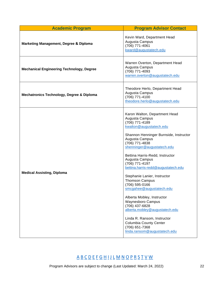| <b>Academic Program</b>                              | <b>Program Advisor Contact</b>                                                                                                                                                                                                                                                                                                                                                                                                                                                                                                                                                                                                                                  |
|------------------------------------------------------|-----------------------------------------------------------------------------------------------------------------------------------------------------------------------------------------------------------------------------------------------------------------------------------------------------------------------------------------------------------------------------------------------------------------------------------------------------------------------------------------------------------------------------------------------------------------------------------------------------------------------------------------------------------------|
| <b>Marketing Management, Degree &amp; Diploma</b>    | Kevin Ward, Department Head<br>Augusta Campus<br>(706) 771-4061<br>kward@augustatech.edu                                                                                                                                                                                                                                                                                                                                                                                                                                                                                                                                                                        |
| <b>Mechanical Engineering Technology, Degree</b>     | Warren Overton, Department Head<br>Augusta Campus<br>(706) 771-4093<br>warren.overton@augustatech.edu                                                                                                                                                                                                                                                                                                                                                                                                                                                                                                                                                           |
| <b>Mechatronics Technology, Degree &amp; Diploma</b> | Theodore Herlo, Department Head<br>Augusta Campus<br>(706) 771-4100<br>theodore.herlo@augustatech.edu                                                                                                                                                                                                                                                                                                                                                                                                                                                                                                                                                           |
| <b>Medical Assisting, Diploma</b>                    | Karon Walton, Department Head<br>Augusta Campus<br>$(706)$ 771-4189<br>kwalton@augustatech.edu<br>Shannon Henninger Burnside, Instructor<br>Augusta Campus<br>(706) 771-4838<br>shenninger@augustatech.edu<br>Bettina Harris-Redd, Instructor<br>Augusta Campus<br>(706) 771-4197<br>bettina.harris-redd@augustatech.edu<br>Stephanie Lanier, Instructor<br><b>Thomson Campus</b><br>(706) 595-0166<br>smcgahee@augustatech.edu<br>Alberta Mobley, Instructor<br><b>Waynesboro Campus</b><br>(706) 437-6828<br>alberta.mobley@augustatech.edu<br>Linda R. Ransom, Instructor<br><b>Columbia County Center</b><br>(706) 651-7368<br>linda.ransom@augustatech.edu |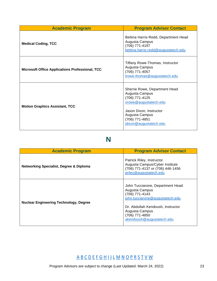| <b>Academic Program</b>                                | <b>Program Advisor Contact</b>                                                                                                                                                      |
|--------------------------------------------------------|-------------------------------------------------------------------------------------------------------------------------------------------------------------------------------------|
| <b>Medical Coding, TCC</b>                             | Bettina Harris-Redd, Department Head<br>Augusta Campus<br>(706) 771-4197<br>bettina.harris-redd@augustatech.edu                                                                     |
| <b>Microsoft Office Applications Professional, TCC</b> | Tiffany Rowe-Thomas, Instructor<br>Augusta Campus<br>(706) 771-4057<br>trowe-thomas@augustatech.edu                                                                                 |
| <b>Motion Graphics Assistant, TCC</b>                  | Sherrie Rowe, Department Head<br>Augusta Campus<br>(706) 771-4125<br>srowe@augustatech.edu<br>Jason Dixon, Instructor<br>Augusta Campus<br>(706) 771-4851<br>jdixon@augustatech.edu |

## **N**

<span id="page-25-0"></span>

| <b>Academic Program</b>                            | <b>Program Advisor Contact</b>                                                                                                                                                                                |
|----------------------------------------------------|---------------------------------------------------------------------------------------------------------------------------------------------------------------------------------------------------------------|
| <b>Networking Specialist, Degree &amp; Diploma</b> | Patrick Riley, Instructor<br>Augusta Campus/Cyber Institute<br>(706) 771-4137 or (706) 446-1456<br>priley@augustatech.edu                                                                                     |
| <b>Nuclear Engineering Technology, Degree</b>      | John Tucciarone, Department Head<br>Augusta Campus<br>(706) 771-4143<br>john.tucciarone@augustatech.edu<br>Dr. Abdullah Kendoush, Instructor<br>Augusta Campus<br>(706) 771-4850<br>akendoush@augustatech.edu |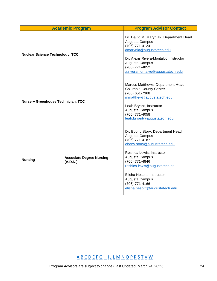| <b>Academic Program</b>                   |                                             | <b>Program Advisor Contact</b>                                                                                                                                                                                                                                                                            |
|-------------------------------------------|---------------------------------------------|-----------------------------------------------------------------------------------------------------------------------------------------------------------------------------------------------------------------------------------------------------------------------------------------------------------|
| <b>Nuclear Science Technology, TCC</b>    |                                             | Dr. David M. Maryniak, Department Head<br>Augusta Campus<br>(706) 771-4124<br>dmarynia@augustatech.edu<br>Dr. Alexis Rivera-Montalvo, Instructor<br>Augusta Campus<br>(706) 771-4852<br>a.riveramontalvo@augustatech.edu                                                                                  |
| <b>Nursery Greenhouse Technician, TCC</b> |                                             | Marcus Matthews, Department Head<br><b>Columbia County Center</b><br>(706) 651-7368<br>mmatthew@augustatech.edu<br>Leah Bryant, Instructor<br>Augusta Campus<br>(706) 771-4058<br>leah.bryant@augustatech.edu                                                                                             |
| <b>Nursing</b>                            | <b>Associate Degree Nursing</b><br>(A.D.N.) | Dr. Ebony Story, Department Head<br>Augusta Campus<br>(706) 771-4187<br>ebony.story@augustatech.edu<br>Reshica Lewis, Instructor<br>Augusta Campus<br>(706) 771-4846<br>reshica.lewis@augustatech.edu<br>Elisha Nesbitt, Instructor<br>Augusta Campus<br>(706) 771-4166<br>elisha.nesbitt@augustatech.edu |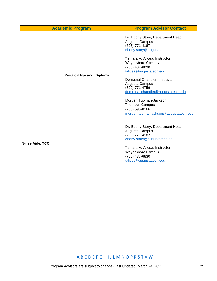|                        | <b>Academic Program</b>           | <b>Program Advisor Contact</b>                                                                                                                                                                                                                                                                                                                                                                                                       |
|------------------------|-----------------------------------|--------------------------------------------------------------------------------------------------------------------------------------------------------------------------------------------------------------------------------------------------------------------------------------------------------------------------------------------------------------------------------------------------------------------------------------|
|                        | <b>Practical Nursing, Diploma</b> | Dr. Ebony Story, Department Head<br>Augusta Campus<br>(706) 771-4187<br>ebony.story@augustatech.edu<br>Tamara A. Alicea, Instructor<br><b>Waynesboro Campus</b><br>(706) 437-6830<br>talicea@augustatech.edu<br>Demetrial Chandler, Instructor<br>Augusta Campus<br>(706) 771-4759<br>demetrial.chandler@augustatech.edu<br>Morgan Tubman-Jackson<br><b>Thomson Campus</b><br>(706) 595-0166<br>morgan.tubmanjackson@augustatech.edu |
| <b>Nurse Aide, TCC</b> |                                   | Dr. Ebony Story, Department Head<br>Augusta Campus<br>(706) 771-4187<br>ebony.story@augustatech.edu<br>Tamara A. Alicea, Instructor<br>Waynesboro Campus<br>(706) 437-6830<br>talicea@augustatech.edu                                                                                                                                                                                                                                |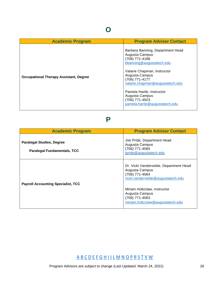<span id="page-28-0"></span>

| <b>Academic Program</b>                       | <b>Program Advisor Contact</b>                                                                                                                                                                                                                                                                           |
|-----------------------------------------------|----------------------------------------------------------------------------------------------------------------------------------------------------------------------------------------------------------------------------------------------------------------------------------------------------------|
| <b>Occupational Therapy Assistant, Degree</b> | Barbara Banning, Department Head<br>Augusta Campus<br>(706) 771-4188<br>bbanning@augustatech.edu<br>Valarie Chapman, Instructor<br>Augusta Campus<br>(706) 771-4177<br>valarie.chapman@augustatech.edu<br>Pamela Hartle, Instructor<br>Augusta Campus<br>(706) 771-4923<br>pamela.hartle@augustatech.edu |

#### **P**

<span id="page-28-1"></span>

| <b>Academic Program</b>                                         | <b>Program Advisor Contact</b>                                                                                                                                                                                          |
|-----------------------------------------------------------------|-------------------------------------------------------------------------------------------------------------------------------------------------------------------------------------------------------------------------|
| Paralegal Studies, Degree<br><b>Paralegal Fundamentals, TCC</b> | Joe Pride, Department Head<br>Augusta Campus<br>(706) 771-4065<br>jpride@augustatech.edu                                                                                                                                |
| <b>Payroll Accounting Specialist, TCC</b>                       | Dr. Vicki Vandervelde, Department Head<br>Augusta Campus<br>(706) 771-4064<br>vicki.vandervelde@augustatech.edu<br>Miriam Holtzclaw, Instructor<br>Augusta Campus<br>(706) 771-4063<br>miriam.holtzclaw@augustatech.edu |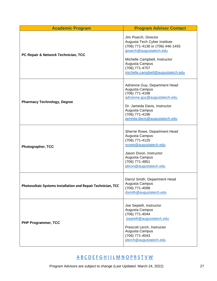| <b>Academic Program</b>                                      | <b>Program Advisor Contact</b>                                                                                                                                                                                                |
|--------------------------------------------------------------|-------------------------------------------------------------------------------------------------------------------------------------------------------------------------------------------------------------------------------|
| PC Repair & Network Technician, TCC                          | Jim Poarch, Director<br>Augusta Tech Cyber Institute<br>(706) 771-4136 or (706) 446-1455<br>jpoarch@augustatech.edu<br>Michelle Campbell, Instructor<br>Augusta Campus<br>(706) 771-4757<br>michelle.campbell@augustatech.edu |
| <b>Pharmacy Technology, Degree</b>                           | Adrienne Guy, Department Head<br>Augusta Campus<br>(706) 771-4198<br>adrienne.guy@augustatech.edu<br>Dr. Jameda Davis, Instructor<br>Augusta Campus<br>(706) 771-4196<br>jameda.davis@augustatech.edu                         |
| Photographer, TCC                                            | Sherrie Rowe, Department Head<br>Augusta Campus<br>(706) 771-4125<br>srowe@augustatech.edu<br>Jason Dixon, Instructor<br>Augusta Campus<br>(706) 771-4851<br>jdixon@augustatech.edu                                           |
| Photovoltaic Systems Installation and Repair Technician, TCC | Darryl Smith, Department Head<br>Augusta Campus<br>(706) 771-4098<br>dsmith@augustatech.edu                                                                                                                                   |
| <b>PHP Programmer, TCC</b>                                   | Joe Sepielli, Instructor<br>Augusta Campus<br>(706) 771-4044<br>jsepielli@augustatech.edu<br>Prescott Lerch, Instructor<br>Augusta Campus<br>(706) 771-4043<br>plerch@augustatech.edu                                         |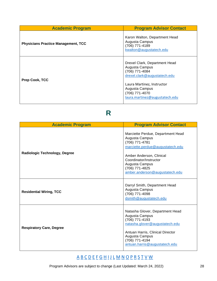| <b>Academic Program</b>                    | <b>Program Advisor Contact</b>                                                                                                                                                                        |
|--------------------------------------------|-------------------------------------------------------------------------------------------------------------------------------------------------------------------------------------------------------|
| <b>Physicians Practice Management, TCC</b> | Karon Walton, Department Head<br>Augusta Campus<br>(706) 771-4189<br>kwalton@augustatech.edu                                                                                                          |
| Prep Cook, TCC                             | Drexel Clark, Department Head<br>Augusta Campus<br>(706) 771-4084<br>drexel.clark@augustatech.edu<br>Laura Martinez, Instructor<br>Augusta Campus<br>(706) 771-4070<br>laura.martinez@augustatech.edu |

# **R**

<span id="page-30-0"></span>

| <b>Academic Program</b>              | <b>Program Advisor Contact</b>                                                                                                                                                                                                        |
|--------------------------------------|---------------------------------------------------------------------------------------------------------------------------------------------------------------------------------------------------------------------------------------|
| <b>Radiologic Technology, Degree</b> | Marciette Perdue, Department Head<br>Augusta Campus<br>(706) 771-4781<br>marciette.perdue@augustatech.edu<br>Amber Anderson, Clinical<br>Coordinator/Instructor<br>Augusta Campus<br>(706) 771-4825<br>amber.anderson@augustatech.edu |
| <b>Residential Wiring, TCC</b>       | Darryl Smith, Department Head<br>Augusta Campus<br>(706) 771-4098<br>dsmith@augustatech.edu                                                                                                                                           |
| <b>Respiratory Care, Degree</b>      | Natasha Glover, Department Head<br>Augusta Campus<br>(706) 771-4193<br>natasha.glover@augustatech.edu<br>Antuan Harris, Clinical Director<br>Augusta Campus<br>(706) 771-4194<br>antuan.harris@augustatech.edu                        |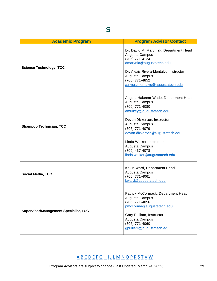<span id="page-31-0"></span>

| <b>Academic Program</b>                      | <b>Program Advisor Contact</b>                                                                                                                                                                                                                                                                           |
|----------------------------------------------|----------------------------------------------------------------------------------------------------------------------------------------------------------------------------------------------------------------------------------------------------------------------------------------------------------|
| <b>Science Technology, TCC</b>               | Dr. David M. Maryniak, Department Head<br>Augusta Campus<br>(706) 771-4124<br>dmarynia@augustatech.edu<br>Dr. Alexis Rivera-Montalvo, Instructor<br>Augusta Campus<br>(706) 771-4852<br>a.riveramontalvo@augustatech.edu                                                                                 |
| <b>Shampoo Technician, TCC</b>               | Angela Hakeem-Wade, Department Head<br>Augusta Campus<br>(706) 771-4080<br>amulkey@augustatech.edu<br>Devon Dickerson, Instructor<br>Augusta Campus<br>(706) 771-4079<br>devon.dickerson@augustatech.edu<br>Linda Walker, Instructor<br>Augusta Campus<br>(706) 437-4078<br>linda.walker@augustatech.edu |
| <b>Social Media, TCC</b>                     | Kevin Ward, Department Head<br>Augusta Campus<br>(706) 771-4061<br>kward@augustatech.edu                                                                                                                                                                                                                 |
| <b>Supervisor/Management Specialist, TCC</b> | Patrick McCormack, Department Head<br>Augusta Campus<br>(706) 771-4056<br>pmccorma@augustatech.edu<br>Gary Pulliam, Instructor<br>Augusta Campus<br>(706) 771-4060<br>gpulliam@augustatech.edu                                                                                                           |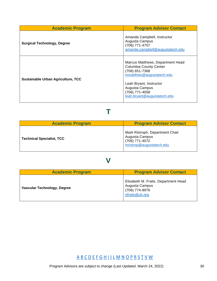| <b>Academic Program</b>                   | <b>Program Advisor Contact</b>                                                                                                                                                                                |
|-------------------------------------------|---------------------------------------------------------------------------------------------------------------------------------------------------------------------------------------------------------------|
| <b>Surgical Technology, Degree</b>        | Amanda Campbell, Instructor<br>Augusta Campus<br>(706) 771-4757<br>amanda.campbell@augustatech.edu                                                                                                            |
| <b>Sustainable Urban Agriculture, TCC</b> | Marcus Matthews, Department Head<br><b>Columbia County Center</b><br>(706) 651-7368<br>mmatthew@augustatech.edu<br>Leah Bryant, Instructor<br>Augusta Campus<br>(706) 771-4058<br>leah.bryant@augustatech.edu |

<span id="page-32-0"></span>

| <b>Academic Program</b>          | <b>Program Advisor Contact</b>                                                                  |
|----------------------------------|-------------------------------------------------------------------------------------------------|
| <b>Technical Specialist, TCC</b> | Mark Ristroph, Department Chair<br>Augusta Campus<br>(706) 771-4072<br>mristrop@augustatech.edu |

**T** 

### **V**

<span id="page-32-1"></span>

| <b>Academic Program</b>     | <b>Program Advisor Contact</b>                                                             |
|-----------------------------|--------------------------------------------------------------------------------------------|
| Vascular Technology, Degree | Elisabeth M. Frails, Department Head<br>Augusta Campus<br>(706) 774-8976<br>efrails@uh.org |